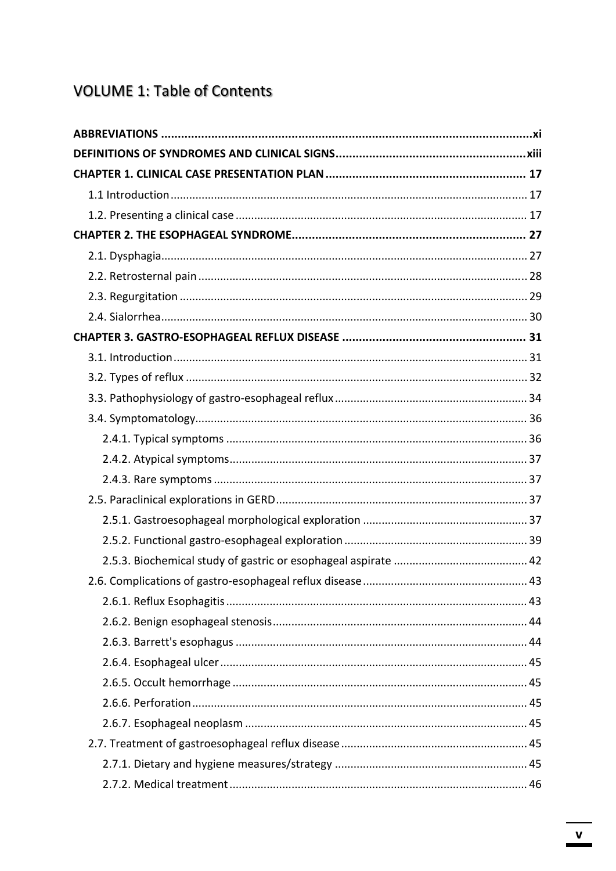## **VOLUME 1: Table of Contents**